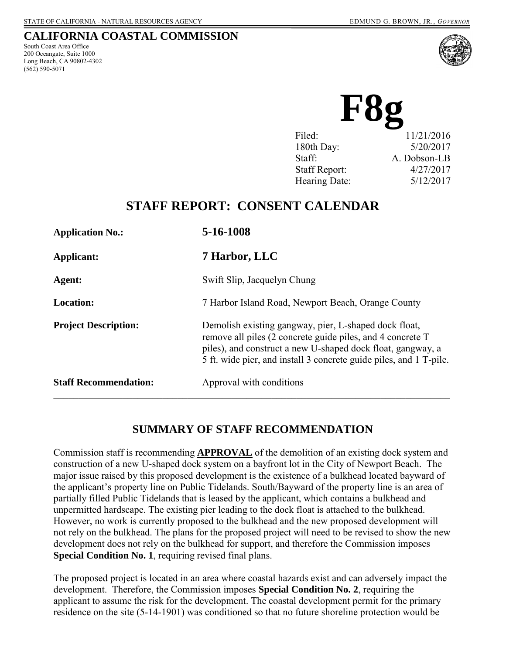## **CALIFORNIA COASTAL COMMISSION**

South Coast Area Office 200 Oceangate, Suite 1000 Long Beach, CA 90802-4302 (562) 590-5071



| Filed:               | 11/21/2016   |
|----------------------|--------------|
| 180th Day:           | 5/20/2017    |
| Staff:               | A. Dobson-LB |
| <b>Staff Report:</b> | 4/27/2017    |
| Hearing Date:        | 5/12/2017    |
|                      |              |

# **STAFF REPORT: CONSENT CALENDAR**

| <b>Application No.:</b>      | 5-16-1008                                                                                                                                                                                                                                                |
|------------------------------|----------------------------------------------------------------------------------------------------------------------------------------------------------------------------------------------------------------------------------------------------------|
| Applicant:                   | 7 Harbor, LLC                                                                                                                                                                                                                                            |
| Agent:                       | Swift Slip, Jacquelyn Chung                                                                                                                                                                                                                              |
| <b>Location:</b>             | 7 Harbor Island Road, Newport Beach, Orange County                                                                                                                                                                                                       |
| <b>Project Description:</b>  | Demolish existing gangway, pier, L-shaped dock float,<br>remove all piles (2 concrete guide piles, and 4 concrete T<br>piles), and construct a new U-shaped dock float, gangway, a<br>5 ft. wide pier, and install 3 concrete guide piles, and 1 T-pile. |
| <b>Staff Recommendation:</b> | Approval with conditions                                                                                                                                                                                                                                 |

# **SUMMARY OF STAFF RECOMMENDATION**

Commission staff is recommending **APPROVAL** of the demolition of an existing dock system and construction of a new U-shaped dock system on a bayfront lot in the City of Newport Beach. The major issue raised by this proposed development is the existence of a bulkhead located bayward of the applicant's property line on Public Tidelands. South/Bayward of the property line is an area of partially filled Public Tidelands that is leased by the applicant, which contains a bulkhead and unpermitted hardscape. The existing pier leading to the dock float is attached to the bulkhead. However, no work is currently proposed to the bulkhead and the new proposed development will not rely on the bulkhead. The plans for the proposed project will need to be revised to show the new development does not rely on the bulkhead for support, and therefore the Commission imposes **Special Condition No. 1**, requiring revised final plans.

The proposed project is located in an area where coastal hazards exist and can adversely impact the development. Therefore, the Commission imposes **Special Condition No. 2**, requiring the applicant to assume the risk for the development. The coastal development permit for the primary residence on the site (5-14-1901) was conditioned so that no future shoreline protection would be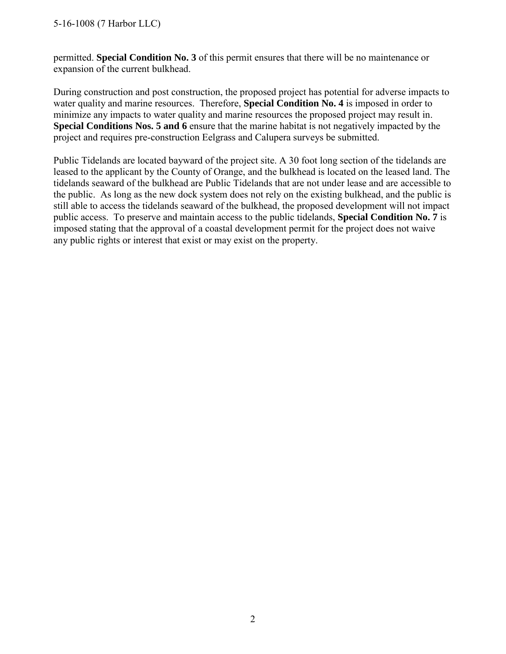permitted. **Special Condition No. 3** of this permit ensures that there will be no maintenance or expansion of the current bulkhead.

During construction and post construction, the proposed project has potential for adverse impacts to water quality and marine resources. Therefore, **Special Condition No. 4** is imposed in order to minimize any impacts to water quality and marine resources the proposed project may result in. **Special Conditions Nos. 5 and 6** ensure that the marine habitat is not negatively impacted by the project and requires pre-construction Eelgrass and Calupera surveys be submitted.

Public Tidelands are located bayward of the project site. A 30 foot long section of the tidelands are leased to the applicant by the County of Orange, and the bulkhead is located on the leased land. The tidelands seaward of the bulkhead are Public Tidelands that are not under lease and are accessible to the public. As long as the new dock system does not rely on the existing bulkhead, and the public is still able to access the tidelands seaward of the bulkhead, the proposed development will not impact public access. To preserve and maintain access to the public tidelands, **Special Condition No. 7** is imposed stating that the approval of a coastal development permit for the project does not waive any public rights or interest that exist or may exist on the property.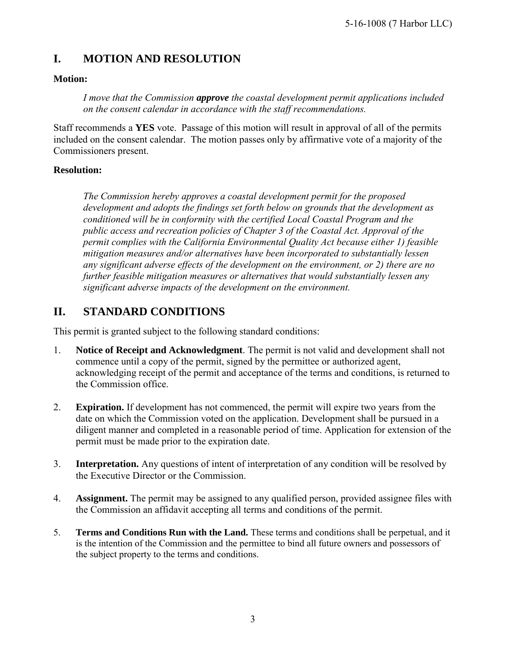# **I. MOTION AND RESOLUTION**

### **Motion:**

*I move that the Commission approve the coastal development permit applications included on the consent calendar in accordance with the staff recommendations.*

Staff recommends a **YES** vote. Passage of this motion will result in approval of all of the permits included on the consent calendar. The motion passes only by affirmative vote of a majority of the Commissioners present.

### **Resolution:**

*The Commission hereby approves a coastal development permit for the proposed development and adopts the findings set forth below on grounds that the development as conditioned will be in conformity with the certified Local Coastal Program and the public access and recreation policies of Chapter 3 of the Coastal Act. Approval of the permit complies with the California Environmental Quality Act because either 1) feasible mitigation measures and/or alternatives have been incorporated to substantially lessen any significant adverse effects of the development on the environment, or 2) there are no further feasible mitigation measures or alternatives that would substantially lessen any significant adverse impacts of the development on the environment.* 

# **II. STANDARD CONDITIONS**

This permit is granted subject to the following standard conditions:

- 1. **Notice of Receipt and Acknowledgment**. The permit is not valid and development shall not commence until a copy of the permit, signed by the permittee or authorized agent, acknowledging receipt of the permit and acceptance of the terms and conditions, is returned to the Commission office.
- 2. **Expiration.** If development has not commenced, the permit will expire two years from the date on which the Commission voted on the application. Development shall be pursued in a diligent manner and completed in a reasonable period of time. Application for extension of the permit must be made prior to the expiration date.
- 3. **Interpretation.** Any questions of intent of interpretation of any condition will be resolved by the Executive Director or the Commission.
- 4. **Assignment.** The permit may be assigned to any qualified person, provided assignee files with the Commission an affidavit accepting all terms and conditions of the permit.
- 5. **Terms and Conditions Run with the Land.** These terms and conditions shall be perpetual, and it is the intention of the Commission and the permittee to bind all future owners and possessors of the subject property to the terms and conditions.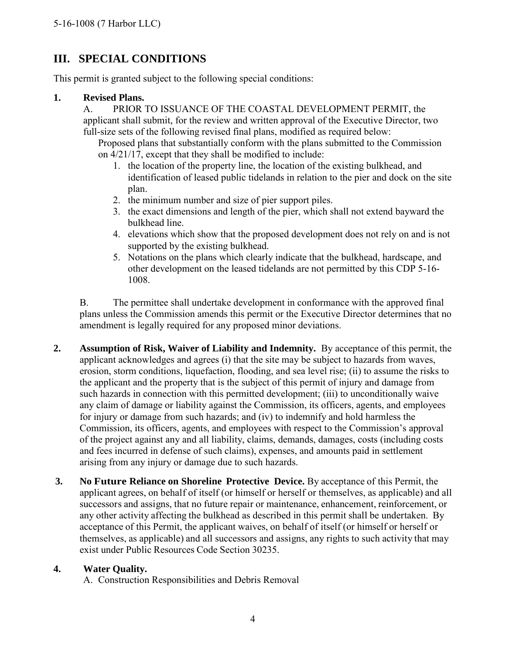# **III. SPECIAL CONDITIONS**

This permit is granted subject to the following special conditions:

### **1. Revised Plans.**

A. PRIOR TO ISSUANCE OF THE COASTAL DEVELOPMENT PERMIT, the applicant shall submit, for the review and written approval of the Executive Director, two full-size sets of the following revised final plans, modified as required below:

Proposed plans that substantially conform with the plans submitted to the Commission on 4/21/17, except that they shall be modified to include:

- 1. the location of the property line, the location of the existing bulkhead, and identification of leased public tidelands in relation to the pier and dock on the site plan.
- 2. the minimum number and size of pier support piles.
- 3. the exact dimensions and length of the pier, which shall not extend bayward the bulkhead line.
- 4. elevations which show that the proposed development does not rely on and is not supported by the existing bulkhead.
- 5. Notations on the plans which clearly indicate that the bulkhead, hardscape, and other development on the leased tidelands are not permitted by this CDP 5-16- 1008.

B. The permittee shall undertake development in conformance with the approved final plans unless the Commission amends this permit or the Executive Director determines that no amendment is legally required for any proposed minor deviations.

- **2. Assumption of Risk, Waiver of Liability and Indemnity.** By acceptance of this permit, the applicant acknowledges and agrees (i) that the site may be subject to hazards from waves, erosion, storm conditions, liquefaction, flooding, and sea level rise; (ii) to assume the risks to the applicant and the property that is the subject of this permit of injury and damage from such hazards in connection with this permitted development; (iii) to unconditionally waive any claim of damage or liability against the Commission, its officers, agents, and employees for injury or damage from such hazards; and (iv) to indemnify and hold harmless the Commission, its officers, agents, and employees with respect to the Commission's approval of the project against any and all liability, claims, demands, damages, costs (including costs and fees incurred in defense of such claims), expenses, and amounts paid in settlement arising from any injury or damage due to such hazards.
- **3. No Future Reliance on Shoreline Protective Device.** By acceptance of this Permit, the applicant agrees, on behalf of itself (or himself or herself or themselves, as applicable) and all successors and assigns, that no future repair or maintenance, enhancement, reinforcement, or any other activity affecting the bulkhead as described in this permit shall be undertaken. By acceptance of this Permit, the applicant waives, on behalf of itself (or himself or herself or themselves, as applicable) and all successors and assigns, any rights to such activity that may exist under Public Resources Code Section 30235.

### **4. Water Quality.**

A. Construction Responsibilities and Debris Removal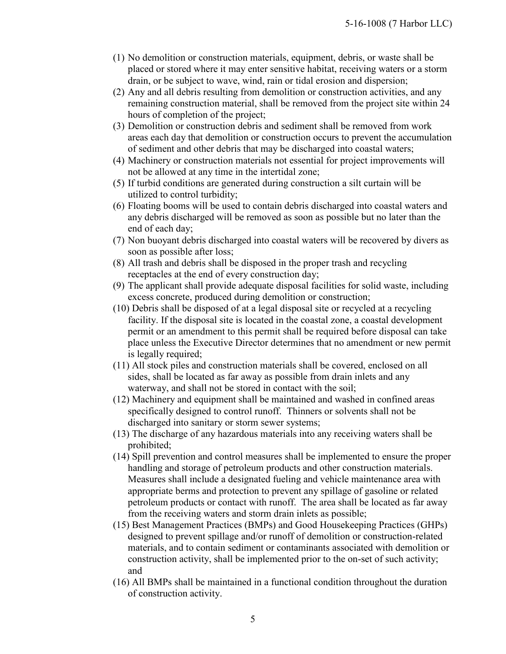- (1) No demolition or construction materials, equipment, debris, or waste shall be placed or stored where it may enter sensitive habitat, receiving waters or a storm drain, or be subject to wave, wind, rain or tidal erosion and dispersion;
- (2) Any and all debris resulting from demolition or construction activities, and any remaining construction material, shall be removed from the project site within 24 hours of completion of the project;
- (3) Demolition or construction debris and sediment shall be removed from work areas each day that demolition or construction occurs to prevent the accumulation of sediment and other debris that may be discharged into coastal waters;
- (4) Machinery or construction materials not essential for project improvements will not be allowed at any time in the intertidal zone;
- (5) If turbid conditions are generated during construction a silt curtain will be utilized to control turbidity;
- (6) Floating booms will be used to contain debris discharged into coastal waters and any debris discharged will be removed as soon as possible but no later than the end of each day;
- (7) Non buoyant debris discharged into coastal waters will be recovered by divers as soon as possible after loss;
- (8) All trash and debris shall be disposed in the proper trash and recycling receptacles at the end of every construction day;
- (9) The applicant shall provide adequate disposal facilities for solid waste, including excess concrete, produced during demolition or construction;
- (10) Debris shall be disposed of at a legal disposal site or recycled at a recycling facility. If the disposal site is located in the coastal zone, a coastal development permit or an amendment to this permit shall be required before disposal can take place unless the Executive Director determines that no amendment or new permit is legally required;
- (11) All stock piles and construction materials shall be covered, enclosed on all sides, shall be located as far away as possible from drain inlets and any waterway, and shall not be stored in contact with the soil;
- (12) Machinery and equipment shall be maintained and washed in confined areas specifically designed to control runoff. Thinners or solvents shall not be discharged into sanitary or storm sewer systems;
- (13) The discharge of any hazardous materials into any receiving waters shall be prohibited;
- (14) Spill prevention and control measures shall be implemented to ensure the proper handling and storage of petroleum products and other construction materials. Measures shall include a designated fueling and vehicle maintenance area with appropriate berms and protection to prevent any spillage of gasoline or related petroleum products or contact with runoff. The area shall be located as far away from the receiving waters and storm drain inlets as possible;
- (15) Best Management Practices (BMPs) and Good Housekeeping Practices (GHPs) designed to prevent spillage and/or runoff of demolition or construction-related materials, and to contain sediment or contaminants associated with demolition or construction activity, shall be implemented prior to the on-set of such activity; and
- (16) All BMPs shall be maintained in a functional condition throughout the duration of construction activity.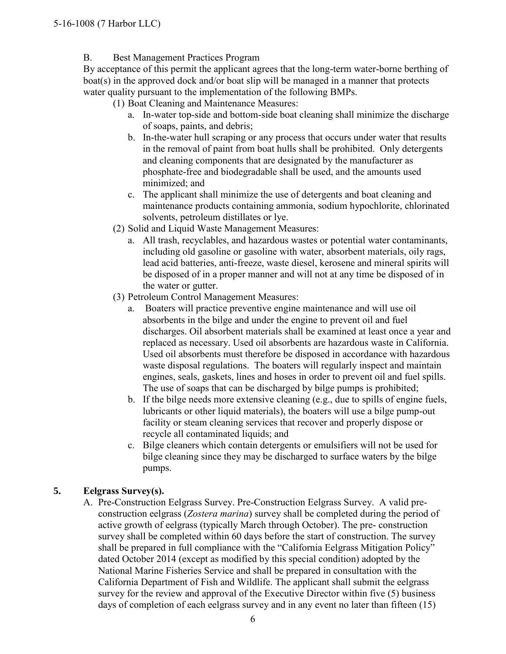### B. Best Management Practices Program

By acceptance of this permit the applicant agrees that the long-term water-borne berthing of boat(s) in the approved dock and/or boat slip will be managed in a manner that protects water quality pursuant to the implementation of the following BMPs.

(1) Boat Cleaning and Maintenance Measures:

- a. In-water top-side and bottom-side boat cleaning shall minimize the discharge of soaps, paints, and debris;
- b. In-the-water hull scraping or any process that occurs under water that results in the removal of paint from boat hulls shall be prohibited. Only detergents and cleaning components that are designated by the manufacturer as phosphate-free and biodegradable shall be used, and the amounts used minimized; and
- c. The applicant shall minimize the use of detergents and boat cleaning and maintenance products containing ammonia, sodium hypochlorite, chlorinated solvents, petroleum distillates or lye.
- (2) Solid and Liquid Waste Management Measures:
	- a. All trash, recyclables, and hazardous wastes or potential water contaminants, including old gasoline or gasoline with water, absorbent materials, oily rags, lead acid batteries, anti-freeze, waste diesel, kerosene and mineral spirits will be disposed of in a proper manner and will not at any time be disposed of in the water or gutter.
- (3) Petroleum Control Management Measures:
	- a. Boaters will practice preventive engine maintenance and will use oil absorbents in the bilge and under the engine to prevent oil and fuel discharges. Oil absorbent materials shall be examined at least once a year and replaced as necessary. Used oil absorbents are hazardous waste in California. Used oil absorbents must therefore be disposed in accordance with hazardous waste disposal regulations. The boaters will regularly inspect and maintain engines, seals, gaskets, lines and hoses in order to prevent oil and fuel spills. The use of soaps that can be discharged by bilge pumps is prohibited;
	- b. If the bilge needs more extensive cleaning (e.g., due to spills of engine fuels, lubricants or other liquid materials), the boaters will use a bilge pump-out facility or steam cleaning services that recover and properly dispose or recycle all contaminated liquids; and
	- c. Bilge cleaners which contain detergents or emulsifiers will not be used for bilge cleaning since they may be discharged to surface waters by the bilge pumps.

## **5. Eelgrass Survey(s).**

A. Pre-Construction Eelgrass Survey. Pre-Construction Eelgrass Survey. A valid preconstruction eelgrass (*Zostera marina*) survey shall be completed during the period of active growth of eelgrass (typically March through October). The pre- construction survey shall be completed within 60 days before the start of construction. The survey shall be prepared in full compliance with the "California Eelgrass Mitigation Policy" dated October 2014 (except as modified by this special condition) adopted by the National Marine Fisheries Service and shall be prepared in consultation with the California Department of Fish and Wildlife. The applicant shall submit the eelgrass survey for the review and approval of the Executive Director within five (5) business days of completion of each eelgrass survey and in any event no later than fifteen (15)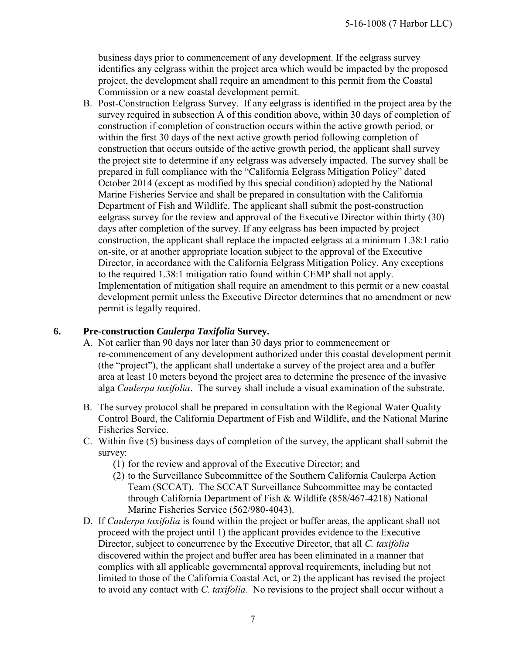business days prior to commencement of any development. If the eelgrass survey identifies any eelgrass within the project area which would be impacted by the proposed project, the development shall require an amendment to this permit from the Coastal Commission or a new coastal development permit.

B. Post-Construction Eelgrass Survey. If any eelgrass is identified in the project area by the survey required in subsection A of this condition above, within 30 days of completion of construction if completion of construction occurs within the active growth period, or within the first 30 days of the next active growth period following completion of construction that occurs outside of the active growth period, the applicant shall survey the project site to determine if any eelgrass was adversely impacted. The survey shall be prepared in full compliance with the "California Eelgrass Mitigation Policy" dated October 2014 (except as modified by this special condition) adopted by the National Marine Fisheries Service and shall be prepared in consultation with the California Department of Fish and Wildlife. The applicant shall submit the post-construction eelgrass survey for the review and approval of the Executive Director within thirty (30) days after completion of the survey. If any eelgrass has been impacted by project construction, the applicant shall replace the impacted eelgrass at a minimum 1.38:1 ratio on-site, or at another appropriate location subject to the approval of the Executive Director, in accordance with the California Eelgrass Mitigation Policy. Any exceptions to the required 1.38:1 mitigation ratio found within CEMP shall not apply. Implementation of mitigation shall require an amendment to this permit or a new coastal development permit unless the Executive Director determines that no amendment or new permit is legally required.

#### **6. Pre-construction** *Caulerpa Taxifolia* **Survey.**

- A. Not earlier than 90 days nor later than 30 days prior to commencement or re-commencement of any development authorized under this coastal development permit (the "project"), the applicant shall undertake a survey of the project area and a buffer area at least 10 meters beyond the project area to determine the presence of the invasive alga *Caulerpa taxifolia*. The survey shall include a visual examination of the substrate.
- B. The survey protocol shall be prepared in consultation with the Regional Water Quality Control Board, the California Department of Fish and Wildlife, and the National Marine Fisheries Service.
- C. Within five (5) business days of completion of the survey, the applicant shall submit the survey:
	- (1) for the review and approval of the Executive Director; and
	- (2) to the Surveillance Subcommittee of the Southern California Caulerpa Action Team (SCCAT). The SCCAT Surveillance Subcommittee may be contacted through California Department of Fish & Wildlife (858/467-4218) National Marine Fisheries Service (562/980-4043).
- D. If *Caulerpa taxifolia* is found within the project or buffer areas, the applicant shall not proceed with the project until 1) the applicant provides evidence to the Executive Director, subject to concurrence by the Executive Director, that all *C. taxifolia* discovered within the project and buffer area has been eliminated in a manner that complies with all applicable governmental approval requirements, including but not limited to those of the California Coastal Act, or 2) the applicant has revised the project to avoid any contact with *C. taxifolia*. No revisions to the project shall occur without a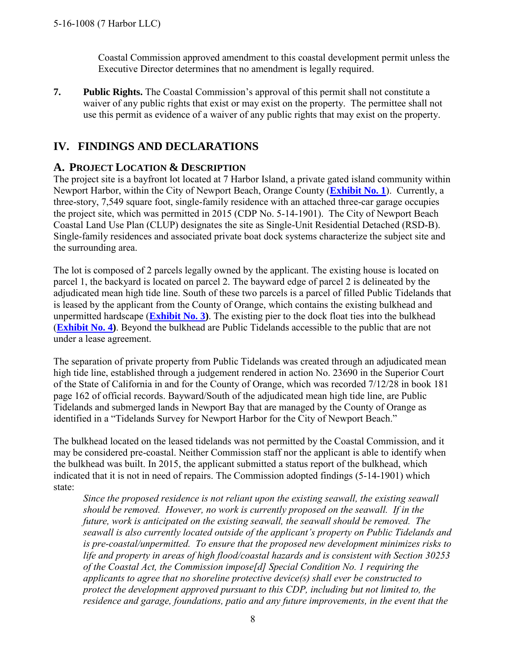Coastal Commission approved amendment to this coastal development permit unless the Executive Director determines that no amendment is legally required.

**7. Public Rights.** The Coastal Commission's approval of this permit shall not constitute a waiver of any public rights that exist or may exist on the property. The permittee shall not use this permit as evidence of a waiver of any public rights that may exist on the property.

# **IV. FINDINGS AND DECLARATIONS**

## **A. PROJECT LOCATION & DESCRIPTION**

The project site is a bayfront lot located at 7 Harbor Island, a private gated island community within Newport Harbor, within the City of Newport Beach, Orange County (**[Exhibit No. 1](https://documents.coastal.ca.gov/reports/2017/5/f8g/f8g-5-2017-exhibits.pdf)**). Currently, a three-story, 7,549 square foot, single-family residence with an attached three-car garage occupies the project site, which was permitted in 2015 (CDP No. 5-14-1901). The City of Newport Beach Coastal Land Use Plan (CLUP) designates the site as Single-Unit Residential Detached (RSD-B). Single-family residences and associated private boat dock systems characterize the subject site and the surrounding area.

The lot is composed of 2 parcels legally owned by the applicant. The existing house is located on parcel 1, the backyard is located on parcel 2. The bayward edge of parcel 2 is delineated by the adjudicated mean high tide line. South of these two parcels is a parcel of filled Public Tidelands that is leased by the applicant from the County of Orange, which contains the existing bulkhead and unpermitted hardscape (**[Exhibit No. 3\)](https://documents.coastal.ca.gov/reports/2017/5/f8g/f8g-5-2017-exhibits.pdf)**. The existing pier to the dock float ties into the bulkhead (**[Exhibit No. 4\)](https://documents.coastal.ca.gov/reports/2017/5/f8g/f8g-5-2017-exhibits.pdf)**. Beyond the bulkhead are Public Tidelands accessible to the public that are not under a lease agreement.

The separation of private property from Public Tidelands was created through an adjudicated mean high tide line, established through a judgement rendered in action No. 23690 in the Superior Court of the State of California in and for the County of Orange, which was recorded 7/12/28 in book 181 page 162 of official records. Bayward/South of the adjudicated mean high tide line, are Public Tidelands and submerged lands in Newport Bay that are managed by the County of Orange as identified in a "Tidelands Survey for Newport Harbor for the City of Newport Beach."

The bulkhead located on the leased tidelands was not permitted by the Coastal Commission, and it may be considered pre-coastal. Neither Commission staff nor the applicant is able to identify when the bulkhead was built. In 2015, the applicant submitted a status report of the bulkhead, which indicated that it is not in need of repairs. The Commission adopted findings (5-14-1901) which state:

*Since the proposed residence is not reliant upon the existing seawall, the existing seawall should be removed. However, no work is currently proposed on the seawall. If in the future, work is anticipated on the existing seawall, the seawall should be removed. The seawall is also currently located outside of the applicant's property on Public Tidelands and is pre-coastal/unpermitted. To ensure that the proposed new development minimizes risks to life and property in areas of high flood/coastal hazards and is consistent with Section 30253 of the Coastal Act, the Commission impose[d] Special Condition No. 1 requiring the applicants to agree that no shoreline protective device(s) shall ever be constructed to protect the development approved pursuant to this CDP, including but not limited to, the residence and garage, foundations, patio and any future improvements, in the event that the*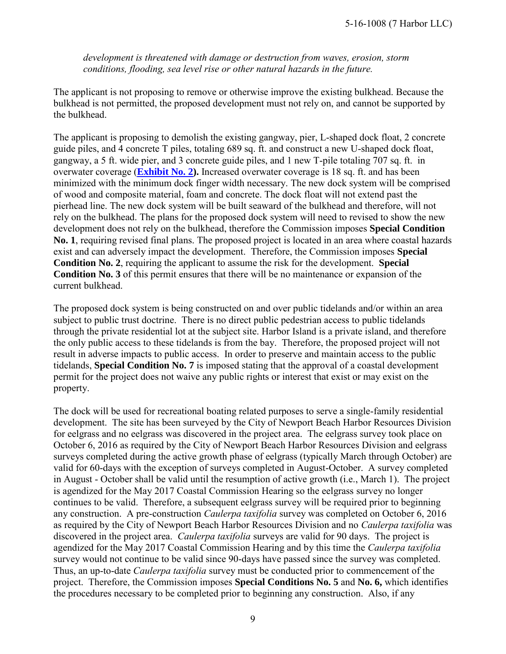*development is threatened with damage or destruction from waves, erosion, storm conditions, flooding, sea level rise or other natural hazards in the future.* 

The applicant is not proposing to remove or otherwise improve the existing bulkhead. Because the bulkhead is not permitted, the proposed development must not rely on, and cannot be supported by the bulkhead.

The applicant is proposing to demolish the existing gangway, pier, L-shaped dock float, 2 concrete guide piles, and 4 concrete T piles, totaling 689 sq. ft. and construct a new U-shaped dock float, gangway, a 5 ft. wide pier, and 3 concrete guide piles, and 1 new T-pile totaling 707 sq. ft. in overwater coverage (**[Exhibit No. 2\)](https://documents.coastal.ca.gov/reports/2017/5/f8g/f8g-5-2017-exhibits.pdf).** Increased overwater coverage is 18 sq. ft. and has been minimized with the minimum dock finger width necessary. The new dock system will be comprised of wood and composite material, foam and concrete. The dock float will not extend past the pierhead line. The new dock system will be built seaward of the bulkhead and therefore, will not rely on the bulkhead. The plans for the proposed dock system will need to revised to show the new development does not rely on the bulkhead, therefore the Commission imposes **Special Condition No. 1**, requiring revised final plans. The proposed project is located in an area where coastal hazards exist and can adversely impact the development. Therefore, the Commission imposes **Special Condition No. 2**, requiring the applicant to assume the risk for the development. **Special Condition No. 3** of this permit ensures that there will be no maintenance or expansion of the current bulkhead.

The proposed dock system is being constructed on and over public tidelands and/or within an area subject to public trust doctrine. There is no direct public pedestrian access to public tidelands through the private residential lot at the subject site. Harbor Island is a private island, and therefore the only public access to these tidelands is from the bay. Therefore, the proposed project will not result in adverse impacts to public access. In order to preserve and maintain access to the public tidelands, **Special Condition No. 7** is imposed stating that the approval of a coastal development permit for the project does not waive any public rights or interest that exist or may exist on the property.

The dock will be used for recreational boating related purposes to serve a single-family residential development. The site has been surveyed by the City of Newport Beach Harbor Resources Division for eelgrass and no eelgrass was discovered in the project area. The eelgrass survey took place on October 6, 2016 as required by the City of Newport Beach Harbor Resources Division and eelgrass surveys completed during the active growth phase of eelgrass (typically March through October) are valid for 60-days with the exception of surveys completed in August-October. A survey completed in August - October shall be valid until the resumption of active growth (i.e., March 1). The project is agendized for the May 2017 Coastal Commission Hearing so the eelgrass survey no longer continues to be valid. Therefore, a subsequent eelgrass survey will be required prior to beginning any construction. A pre-construction *Caulerpa taxifolia* survey was completed on October 6, 2016 as required by the City of Newport Beach Harbor Resources Division and no *Caulerpa taxifolia* was discovered in the project area. *Caulerpa taxifolia* surveys are valid for 90 days. The project is agendized for the May 2017 Coastal Commission Hearing and by this time the *Caulerpa taxifolia* survey would not continue to be valid since 90-days have passed since the survey was completed. Thus, an up-to-date *Caulerpa taxifolia* survey must be conducted prior to commencement of the project. Therefore, the Commission imposes **Special Conditions No. 5** and **No. 6,** which identifies the procedures necessary to be completed prior to beginning any construction. Also, if any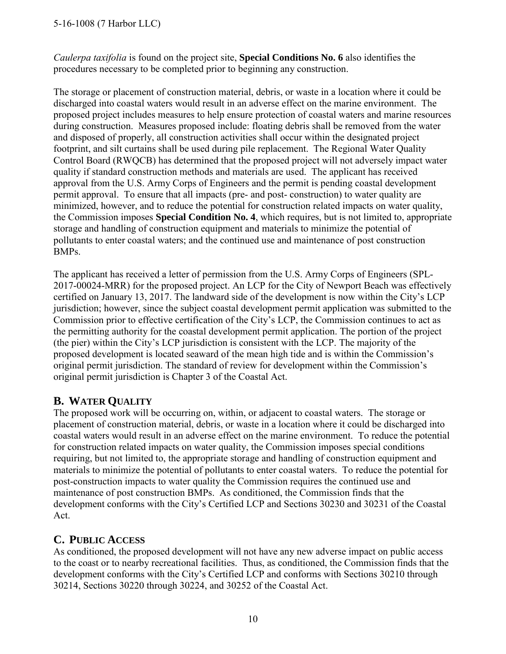### 5-16-1008 (7 Harbor LLC)

*Caulerpa taxifolia* is found on the project site, **Special Conditions No. 6** also identifies the procedures necessary to be completed prior to beginning any construction.

The storage or placement of construction material, debris, or waste in a location where it could be discharged into coastal waters would result in an adverse effect on the marine environment. The proposed project includes measures to help ensure protection of coastal waters and marine resources during construction. Measures proposed include: floating debris shall be removed from the water and disposed of properly, all construction activities shall occur within the designated project footprint, and silt curtains shall be used during pile replacement. The Regional Water Quality Control Board (RWQCB) has determined that the proposed project will not adversely impact water quality if standard construction methods and materials are used. The applicant has received approval from the U.S. Army Corps of Engineers and the permit is pending coastal development permit approval. To ensure that all impacts (pre- and post- construction) to water quality are minimized, however, and to reduce the potential for construction related impacts on water quality, the Commission imposes **Special Condition No. 4**, which requires, but is not limited to, appropriate storage and handling of construction equipment and materials to minimize the potential of pollutants to enter coastal waters; and the continued use and maintenance of post construction BMPs.

The applicant has received a letter of permission from the U.S. Army Corps of Engineers (SPL-2017-00024-MRR) for the proposed project. An LCP for the City of Newport Beach was effectively certified on January 13, 2017. The landward side of the development is now within the City's LCP jurisdiction; however, since the subject coastal development permit application was submitted to the Commission prior to effective certification of the City's LCP, the Commission continues to act as the permitting authority for the coastal development permit application. The portion of the project (the pier) within the City's LCP jurisdiction is consistent with the LCP. The majority of the proposed development is located seaward of the mean high tide and is within the Commission's original permit jurisdiction. The standard of review for development within the Commission's original permit jurisdiction is Chapter 3 of the Coastal Act.

## **B. WATER QUALITY**

The proposed work will be occurring on, within, or adjacent to coastal waters. The storage or placement of construction material, debris, or waste in a location where it could be discharged into coastal waters would result in an adverse effect on the marine environment. To reduce the potential for construction related impacts on water quality, the Commission imposes special conditions requiring, but not limited to, the appropriate storage and handling of construction equipment and materials to minimize the potential of pollutants to enter coastal waters. To reduce the potential for post-construction impacts to water quality the Commission requires the continued use and maintenance of post construction BMPs. As conditioned, the Commission finds that the development conforms with the City's Certified LCP and Sections 30230 and 30231 of the Coastal Act.

## **C. PUBLIC ACCESS**

As conditioned, the proposed development will not have any new adverse impact on public access to the coast or to nearby recreational facilities. Thus, as conditioned, the Commission finds that the development conforms with the City's Certified LCP and conforms with Sections 30210 through 30214, Sections 30220 through 30224, and 30252 of the Coastal Act.